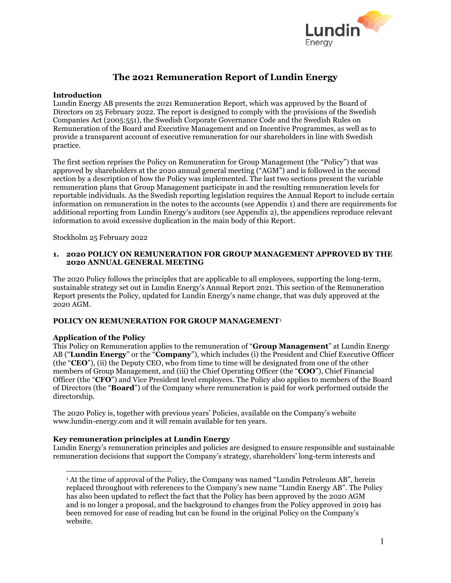

# **The 2021 Remuneration Report of Lundin Energy**

## **Introduction**

Lundin Energy AB presents the 2021 Remuneration Report, which was approved by the Board of Directors on 25 February 2022. The report is designed to comply with the provisions of the Swedish Companies Act (2005:551), the Swedish Corporate Governance Code and the Swedish Rules on Remuneration of the Board and Executive Management and on Incentive Programmes, as well as to provide a transparent account of executive remuneration for our shareholders in line with Swedish practice.

The first section reprises the Policy on Remuneration for Group Management (the "Policy") that was approved by shareholders at the 2020 annual general meeting ("AGM") and is followed in the second section by a description of how the Policy was implemented. The last two sections present the variable remuneration plans that Group Management participate in and the resulting remuneration levels for reportable individuals. As the Swedish reporting legislation requires the Annual Report to include certain information on remuneration in the notes to the accounts (see Appendix 1) and there are requirements for additional reporting from Lundin Energy's auditors (see Appendix 2), the appendices reproduce relevant information to avoid excessive duplication in the main body of this Report.

Stockholm 25 February 2022

## **1. 2020 POLICY ON REMUNERATION FOR GROUP MANAGEMENT APPROVED BY THE 2020 ANNUAL GENERAL MEETING**

The 2020 Policy follows the principles that are applicable to all employees, supporting the long-term, sustainable strategy set out in Lundin Energy's Annual Report 2021. This section of the Remuneration Report presents the Policy, updated for Lundin Energy's name change, that was duly approved at the 2020 AGM.

## **POLICY ON REMUNERATION FOR GROUP MANAGEMENT**[1](#page-0-0)

## **Application of the Policy**

This Policy on Remuneration applies to the remuneration of "**Group Management**" at Lundin Energy AB ("**Lundin Energy**" or the "**Company**"), which includes (i) the President and Chief Executive Officer (the "**CEO**"), (ii) the Deputy CEO, who from time to time will be designated from one of the other members of Group Management, and (iii) the Chief Operating Officer (the "**COO**"), Chief Financial Officer (the "**CFO**") and Vice President level employees. The Policy also applies to members of the Board of Directors (the "**Board**") of the Company where remuneration is paid for work performed outside the directorship.

The 2020 Policy is, together with previous years' Policies, available on the Company's website www.lundin-energy.com and it will remain available for ten years.

## **Key remuneration principles at Lundin Energy**

<span id="page-0-0"></span>Lundin Energy's remuneration principles and policies are designed to ensure responsible and sustainable remuneration decisions that support the Company's strategy, shareholders' long-term interests and

 $\overline{a}$ <sup>1</sup> At the time of approval of the Policy, the Company was named "Lundin Petroleum AB", herein replaced throughout with references to the Company's new name "Lundin Energy AB". The Policy has also been updated to reflect the fact that the Policy has been approved by the 2020 AGM and is no longer a proposal, and the background to changes from the Policy approved in 2019 has been removed for ease of reading but can be found in the original Policy on the Company's website.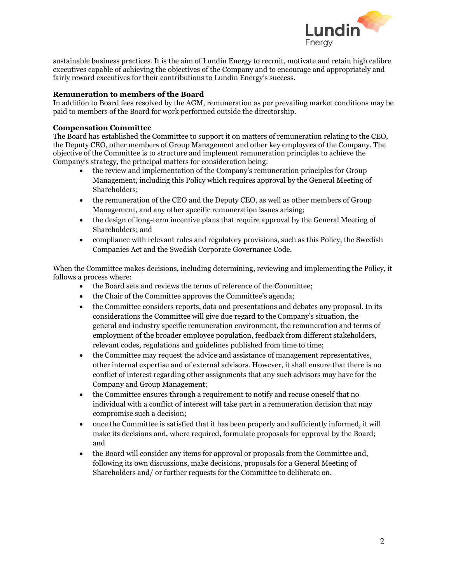

sustainable business practices. It is the aim of Lundin Energy to recruit, motivate and retain high calibre executives capable of achieving the objectives of the Company and to encourage and appropriately and fairly reward executives for their contributions to Lundin Energy's success.

# **Remuneration to members of the Board**

In addition to Board fees resolved by the AGM, remuneration as per prevailing market conditions may be paid to members of the Board for work performed outside the directorship.

# **Compensation Committee**

The Board has established the Committee to support it on matters of remuneration relating to the CEO, the Deputy CEO, other members of Group Management and other key employees of the Company. The objective of the Committee is to structure and implement remuneration principles to achieve the Company's strategy, the principal matters for consideration being:

- the review and implementation of the Company's remuneration principles for Group Management, including this Policy which requires approval by the General Meeting of Shareholders;
- the remuneration of the CEO and the Deputy CEO, as well as other members of Group Management, and any other specific remuneration issues arising;
- the design of long-term incentive plans that require approval by the General Meeting of Shareholders; and
- compliance with relevant rules and regulatory provisions, such as this Policy, the Swedish Companies Act and the Swedish Corporate Governance Code.

When the Committee makes decisions, including determining, reviewing and implementing the Policy, it follows a process where:

- the Board sets and reviews the terms of reference of the Committee;
- the Chair of the Committee approves the Committee's agenda;
- the Committee considers reports, data and presentations and debates any proposal. In its considerations the Committee will give due regard to the Company's situation, the general and industry specific remuneration environment, the remuneration and terms of employment of the broader employee population, feedback from different stakeholders, relevant codes, regulations and guidelines published from time to time;
- the Committee may request the advice and assistance of management representatives, other internal expertise and of external advisors. However, it shall ensure that there is no conflict of interest regarding other assignments that any such advisors may have for the Company and Group Management;
- the Committee ensures through a requirement to notify and recuse oneself that no individual with a conflict of interest will take part in a remuneration decision that may compromise such a decision;
- once the Committee is satisfied that it has been properly and sufficiently informed, it will make its decisions and, where required, formulate proposals for approval by the Board; and
- the Board will consider any items for approval or proposals from the Committee and, following its own discussions, make decisions, proposals for a General Meeting of Shareholders and/ or further requests for the Committee to deliberate on.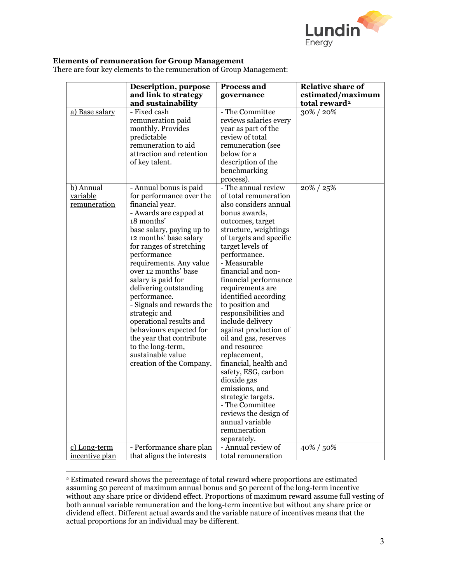

# **Elements of remuneration for Group Management**

There are four key elements to the remuneration of Group Management:

|                                       | Description, purpose<br>and link to strategy                                                                                                                                                                                                                                                                                                                                                                                                                                                                                             | Process and<br>governance                                                                                                                                                                                                                                                                                                                                                                                                                                                                                                                                                                                                                                           | <b>Relative share of</b><br>estimated/maximum |
|---------------------------------------|------------------------------------------------------------------------------------------------------------------------------------------------------------------------------------------------------------------------------------------------------------------------------------------------------------------------------------------------------------------------------------------------------------------------------------------------------------------------------------------------------------------------------------------|---------------------------------------------------------------------------------------------------------------------------------------------------------------------------------------------------------------------------------------------------------------------------------------------------------------------------------------------------------------------------------------------------------------------------------------------------------------------------------------------------------------------------------------------------------------------------------------------------------------------------------------------------------------------|-----------------------------------------------|
|                                       | and sustainability                                                                                                                                                                                                                                                                                                                                                                                                                                                                                                                       |                                                                                                                                                                                                                                                                                                                                                                                                                                                                                                                                                                                                                                                                     | total reward <sup>2</sup>                     |
| a) Base salary                        | - Fixed cash<br>remuneration paid<br>monthly. Provides<br>predictable<br>remuneration to aid<br>attraction and retention<br>of key talent.                                                                                                                                                                                                                                                                                                                                                                                               | - The Committee<br>reviews salaries every<br>year as part of the<br>review of total<br>remuneration (see<br>below for a<br>description of the<br>benchmarking<br>process).                                                                                                                                                                                                                                                                                                                                                                                                                                                                                          | 30%/20%                                       |
| b) Annual<br>variable<br>remuneration | - Annual bonus is paid<br>for performance over the<br>financial year.<br>- Awards are capped at<br>18 months'<br>base salary, paying up to<br>12 months' base salary<br>for ranges of stretching<br>performance<br>requirements. Any value<br>over 12 months' base<br>salary is paid for<br>delivering outstanding<br>performance.<br>- Signals and rewards the<br>strategic and<br>operational results and<br>behaviours expected for<br>the year that contribute<br>to the long-term,<br>sustainable value<br>creation of the Company. | - The annual review<br>of total remuneration<br>also considers annual<br>bonus awards,<br>outcomes, target<br>structure, weightings<br>of targets and specific<br>target levels of<br>performance.<br>- Measurable<br>financial and non-<br>financial performance<br>requirements are<br>identified according<br>to position and<br>responsibilities and<br>include delivery<br>against production of<br>oil and gas, reserves<br>and resource<br>replacement,<br>financial, health and<br>safety, ESG, carbon<br>dioxide gas<br>emissions, and<br>strategic targets.<br>- The Committee<br>reviews the design of<br>annual variable<br>remuneration<br>separately. | 20% / 25%                                     |
| c) Long-term                          | - Performance share plan                                                                                                                                                                                                                                                                                                                                                                                                                                                                                                                 | - Annual review of                                                                                                                                                                                                                                                                                                                                                                                                                                                                                                                                                                                                                                                  | 40% / 50%                                     |
| incentive plan                        | that aligns the interests                                                                                                                                                                                                                                                                                                                                                                                                                                                                                                                | total remuneration                                                                                                                                                                                                                                                                                                                                                                                                                                                                                                                                                                                                                                                  |                                               |

<span id="page-2-0"></span> $\overline{a}$ <sup>2</sup> Estimated reward shows the percentage of total reward where proportions are estimated assuming 50 percent of maximum annual bonus and 50 percent of the long-term incentive without any share price or dividend effect. Proportions of maximum reward assume full vesting of both annual variable remuneration and the long-term incentive but without any share price or dividend effect. Different actual awards and the variable nature of incentives means that the actual proportions for an individual may be different.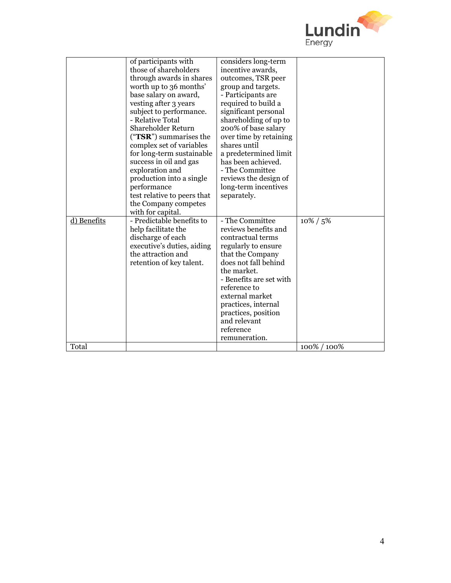

|             | of participants with        | considers long-term     |              |
|-------------|-----------------------------|-------------------------|--------------|
|             | those of shareholders       | incentive awards,       |              |
|             | through awards in shares    | outcomes, TSR peer      |              |
|             | worth up to 36 months'      | group and targets.      |              |
|             | base salary on award,       | - Participants are      |              |
|             | vesting after 3 years       | required to build a     |              |
|             | subject to performance.     | significant personal    |              |
|             | - Relative Total            | shareholding of up to   |              |
|             | Shareholder Return          | 200% of base salary     |              |
|             | $("TSR")$ summarises the    | over time by retaining  |              |
|             | complex set of variables    | shares until            |              |
|             | for long-term sustainable   | a predetermined limit   |              |
|             | success in oil and gas      | has been achieved.      |              |
|             | exploration and             | - The Committee         |              |
|             | production into a single    | reviews the design of   |              |
|             | performance                 | long-term incentives    |              |
|             | test relative to peers that | separately.             |              |
|             | the Company competes        |                         |              |
|             | with for capital.           |                         |              |
| d) Benefits | - Predictable benefits to   | - The Committee         | $10\% / 5\%$ |
|             | help facilitate the         | reviews benefits and    |              |
|             | discharge of each           | contractual terms       |              |
|             | executive's duties, aiding  | regularly to ensure     |              |
|             | the attraction and          | that the Company        |              |
|             | retention of key talent.    | does not fall behind    |              |
|             |                             | the market.             |              |
|             |                             | - Benefits are set with |              |
|             |                             | reference to            |              |
|             |                             | external market         |              |
|             |                             | practices, internal     |              |
|             |                             | practices, position     |              |
|             |                             | and relevant            |              |
|             |                             | reference               |              |
|             |                             | remuneration.           |              |
| Total       |                             |                         | 100% / 100%  |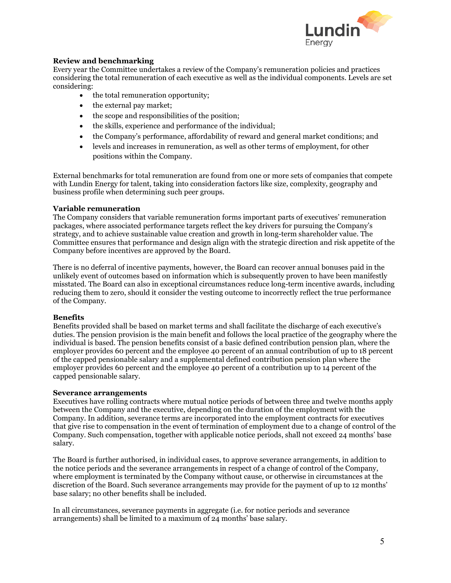

# **Review and benchmarking**

Every year the Committee undertakes a review of the Company's remuneration policies and practices considering the total remuneration of each executive as well as the individual components. Levels are set considering:

- the total remuneration opportunity;
- the external pay market;
- the scope and responsibilities of the position;
- the skills, experience and performance of the individual;
- the Company's performance, affordability of reward and general market conditions; and
- levels and increases in remuneration, as well as other terms of employment, for other positions within the Company.

External benchmarks for total remuneration are found from one or more sets of companies that compete with Lundin Energy for talent, taking into consideration factors like size, complexity, geography and business profile when determining such peer groups.

#### **Variable remuneration**

The Company considers that variable remuneration forms important parts of executives' remuneration packages, where associated performance targets reflect the key drivers for pursuing the Company's strategy, and to achieve sustainable value creation and growth in long-term shareholder value. The Committee ensures that performance and design align with the strategic direction and risk appetite of the Company before incentives are approved by the Board.

There is no deferral of incentive payments, however, the Board can recover annual bonuses paid in the unlikely event of outcomes based on information which is subsequently proven to have been manifestly misstated. The Board can also in exceptional circumstances reduce long-term incentive awards, including reducing them to zero, should it consider the vesting outcome to incorrectly reflect the true performance of the Company.

## **Benefits**

Benefits provided shall be based on market terms and shall facilitate the discharge of each executive's duties. The pension provision is the main benefit and follows the local practice of the geography where the individual is based. The pension benefits consist of a basic defined contribution pension plan, where the employer provides 60 percent and the employee 40 percent of an annual contribution of up to 18 percent of the capped pensionable salary and a supplemental defined contribution pension plan where the employer provides 60 percent and the employee 40 percent of a contribution up to 14 percent of the capped pensionable salary.

## **Severance arrangements**

Executives have rolling contracts where mutual notice periods of between three and twelve months apply between the Company and the executive, depending on the duration of the employment with the Company. In addition, severance terms are incorporated into the employment contracts for executives that give rise to compensation in the event of termination of employment due to a change of control of the Company. Such compensation, together with applicable notice periods, shall not exceed 24 months' base salary.

The Board is further authorised, in individual cases, to approve severance arrangements, in addition to the notice periods and the severance arrangements in respect of a change of control of the Company, where employment is terminated by the Company without cause, or otherwise in circumstances at the discretion of the Board. Such severance arrangements may provide for the payment of up to 12 months' base salary; no other benefits shall be included.

In all circumstances, severance payments in aggregate (i.e. for notice periods and severance arrangements) shall be limited to a maximum of 24 months' base salary.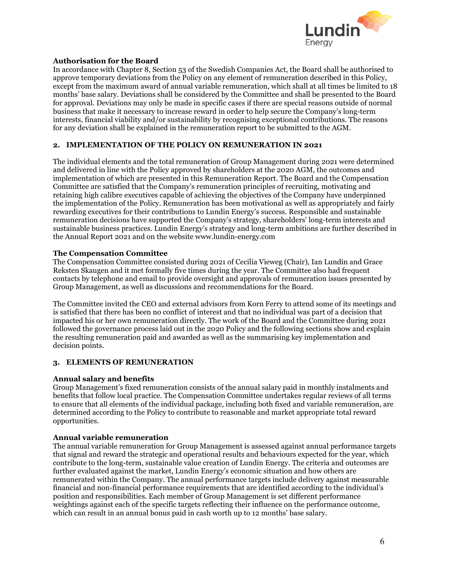

# **Authorisation for the Board**

In accordance with Chapter 8, Section 53 of the Swedish Companies Act, the Board shall be authorised to approve temporary deviations from the Policy on any element of remuneration described in this Policy, except from the maximum award of annual variable remuneration, which shall at all times be limited to 18 months' base salary. Deviations shall be considered by the Committee and shall be presented to the Board for approval. Deviations may only be made in specific cases if there are special reasons outside of normal business that make it necessary to increase reward in order to help secure the Company's long-term interests, financial viability and/or sustainability by recognising exceptional contributions. The reasons for any deviation shall be explained in the remuneration report to be submitted to the AGM.

# **2. IMPLEMENTATION OF THE POLICY ON REMUNERATION IN 2021**

The individual elements and the total remuneration of Group Management during 2021 were determined and delivered in line with the Policy approved by shareholders at the 2020 AGM, the outcomes and implementation of which are presented in this Remuneration Report. The Board and the Compensation Committee are satisfied that the Company's remuneration principles of recruiting, motivating and retaining high calibre executives capable of achieving the objectives of the Company have underpinned the implementation of the Policy. Remuneration has been motivational as well as appropriately and fairly rewarding executives for their contributions to Lundin Energy's success. Responsible and sustainable remuneration decisions have supported the Company's strategy, shareholders' long-term interests and sustainable business practices. Lundin Energy's strategy and long-term ambitions are further described in the Annual Report 2021 and on the website www.lundin-energy.com

# **The Compensation Committee**

The Compensation Committee consisted during 2021 of Cecilia Vieweg (Chair), Ian Lundin and Grace Reksten Skaugen and it met formally five times during the year. The Committee also had frequent contacts by telephone and email to provide oversight and approvals of remuneration issues presented by Group Management, as well as discussions and recommendations for the Board.

The Committee invited the CEO and external advisors from Korn Ferry to attend some of its meetings and is satisfied that there has been no conflict of interest and that no individual was part of a decision that impacted his or her own remuneration directly. The work of the Board and the Committee during 2021 followed the governance process laid out in the 2020 Policy and the following sections show and explain the resulting remuneration paid and awarded as well as the summarising key implementation and decision points.

# **3. ELEMENTS OF REMUNERATION**

## **Annual salary and benefits**

Group Management's fixed remuneration consists of the annual salary paid in monthly instalments and benefits that follow local practice. The Compensation Committee undertakes regular reviews of all terms to ensure that all elements of the individual package, including both fixed and variable remuneration, are determined according to the Policy to contribute to reasonable and market appropriate total reward opportunities.

## **Annual variable remuneration**

The annual variable remuneration for Group Management is assessed against annual performance targets that signal and reward the strategic and operational results and behaviours expected for the year, which contribute to the long-term, sustainable value creation of Lundin Energy. The criteria and outcomes are further evaluated against the market, Lundin Energy's economic situation and how others are remunerated within the Company. The annual performance targets include delivery against measurable financial and non-financial performance requirements that are identified according to the individual's position and responsibilities. Each member of Group Management is set different performance weightings against each of the specific targets reflecting their influence on the performance outcome, which can result in an annual bonus paid in cash worth up to 12 months' base salary.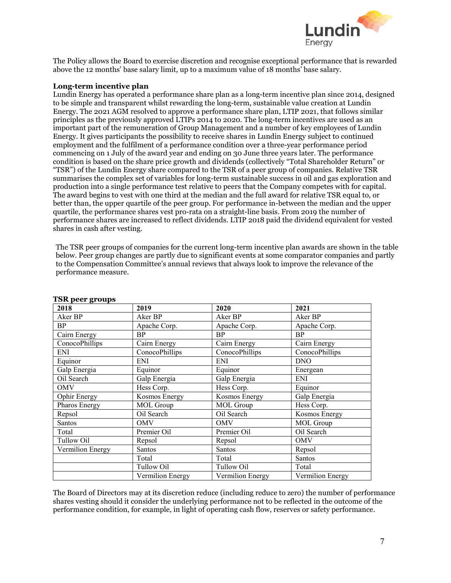

The Policy allows the Board to exercise discretion and recognise exceptional performance that is rewarded above the 12 months' base salary limit, up to a maximum value of 18 months' base salary.

#### **Long-term incentive plan**

Lundin Energy has operated a performance share plan as a long-term incentive plan since 2014, designed to be simple and transparent whilst rewarding the long-term, sustainable value creation at Lundin Energy. The 2021 AGM resolved to approve a performance share plan, LTIP 2021, that follows similar principles as the previously approved LTIPs 2014 to 2020. The long-term incentives are used as an important part of the remuneration of Group Management and a number of key employees of Lundin Energy. It gives participants the possibility to receive shares in Lundin Energy subject to continued employment and the fulfilment of a performance condition over a three-year performance period commencing on 1 July of the award year and ending on 30 June three years later. The performance condition is based on the share price growth and dividends (collectively "Total Shareholder Return" or "TSR") of the Lundin Energy share compared to the TSR of a peer group of companies. Relative TSR summarises the complex set of variables for long-term sustainable success in oil and gas exploration and production into a single performance test relative to peers that the Company competes with for capital. The award begins to vest with one third at the median and the full award for relative TSR equal to, or better than, the upper quartile of the peer group. For performance in-between the median and the upper quartile, the performance shares vest pro-rata on a straight-line basis. From 2019 the number of performance shares are increased to reflect dividends. LTIP 2018 paid the dividend equivalent for vested shares in cash after vesting.

The TSR peer groups of companies for the current long-term incentive plan awards are shown in the table below. Peer group changes are partly due to significant events at some comparator companies and partly to the Compensation Committee's annual reviews that always look to improve the relevance of the performance measure.

| 2018             | 2019             | 2020             | 2021             |
|------------------|------------------|------------------|------------------|
| Aker BP          | Aker BP          | Aker BP          | Aker BP          |
| BP               | Apache Corp.     | Apache Corp.     | Apache Corp.     |
| Cairn Energy     | <b>BP</b>        | <b>BP</b>        | <b>BP</b>        |
| ConocoPhillips   | Cairn Energy     | Cairn Energy     | Cairn Energy     |
| ENI              | ConocoPhillips   | ConocoPhillips   | ConocoPhillips   |
| Equinor          | <b>ENI</b>       | <b>ENI</b>       | <b>DNO</b>       |
| Galp Energia     | Equinor          | Equinor          | Energean         |
| Oil Search       | Galp Energia     | Galp Energia     | ENI              |
| <b>OMV</b>       | Hess Corp.       | Hess Corp.       | Equinor          |
| Ophir Energy     | Kosmos Energy    | Kosmos Energy    | Galp Energia     |
| Pharos Energy    | MOL Group        | MOL Group        | Hess Corp.       |
| Repsol           | Oil Search       | Oil Search       | Kosmos Energy    |
| Santos           | <b>OMV</b>       | <b>OMV</b>       | MOL Group        |
| Total            | Premier Oil      | Premier Oil      | Oil Search       |
| Tullow Oil       | Repsol           | Repsol           | <b>OMV</b>       |
| Vermilion Energy | Santos           | Santos           | Repsol           |
|                  | Total            | Total            | Santos           |
|                  | Tullow Oil       | Tullow Oil       | Total            |
|                  | Vermilion Energy | Vermilion Energy | Vermilion Energy |

#### **TSR peer groups**

The Board of Directors may at its discretion reduce (including reduce to zero) the number of performance shares vesting should it consider the underlying performance not to be reflected in the outcome of the performance condition, for example, in light of operating cash flow, reserves or safety performance.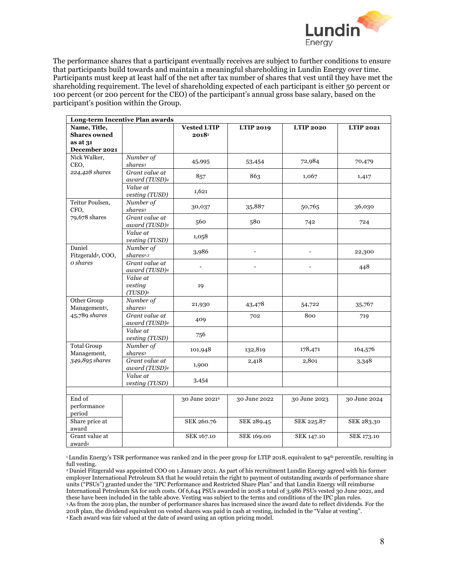

The performance shares that a participant eventually receives are subject to further conditions to ensure that participants build towards and maintain a meaningful shareholding in Lundin Energy over time. Participants must keep at least half of the net after tax number of shares that vest until they have met the shareholding requirement. The level of shareholding expected of each participant is either 50 percent or 100 percent (or 200 percent for the CEO) of the participant's annual gross base salary, based on the participant's position within the Group.

|                                          | Long-term Incentive Plan awards              |                           |                          |                          |                   |
|------------------------------------------|----------------------------------------------|---------------------------|--------------------------|--------------------------|-------------------|
| Name, Title,                             |                                              | <b>Vested LTIP</b>        | <b>LTIP 2019</b>         | <b>LTIP 2020</b>         | <b>LTIP 2021</b>  |
| <b>Shares owned</b>                      |                                              | 2018                      |                          |                          |                   |
| as at 31                                 |                                              |                           |                          |                          |                   |
| December 2021                            |                                              |                           |                          |                          |                   |
| Nick Walker,                             | Number of                                    | 45,995                    | 53,454                   | 72,984                   | 70,479            |
| CEO,                                     | shares <sup>3</sup>                          |                           |                          |                          |                   |
| 224,428 shares                           | Grant value at<br>award (TUSD)4              | 857                       | 863                      | 1,067                    | 1,417             |
|                                          | Value at<br>vesting (TUSD)                   | 1,621                     |                          |                          |                   |
| Teitur Poulsen,<br>CFO,                  | Number of<br>shares <sup>3</sup>             | 30,037                    | 35,887                   | 50,765                   | 36,030            |
| 79,678 shares                            | Grant value at<br>award (TUSD)4              | 560                       | 580                      | 742                      | 724               |
|                                          | Value at<br>vesting (TUSD)                   | 1,058                     |                          |                          |                   |
| Daniel<br>Fitzgerald <sup>2</sup> , COO, | Number of<br>shares <sup>2,3</sup>           | 3,986                     | $\overline{\phantom{a}}$ | $\overline{\phantom{0}}$ | 22,300            |
| $o$ shares                               | Grant value at<br>award (TUSD)4              |                           |                          |                          | 448               |
|                                          | Value at<br>vesting<br>$(TUSD)$ <sup>2</sup> | 19                        |                          |                          |                   |
| Other Group<br>Management <sup>5</sup> , | Number of<br>shares <sup>3</sup>             | 21,930                    | 43,478                   | 54,722                   | 35,767            |
| 45,789 shares                            | Grant value at<br>award (TUSD) <sup>4</sup>  | 409                       | 702                      | 800                      | 719               |
|                                          | Value at<br>vesting (TUSD)                   | 756                       |                          |                          |                   |
| <b>Total Group</b><br>Management,        | Number of<br>shares <sup>3</sup>             | 101,948                   | 132,819                  | 178,471                  | 164,576           |
| 349,895 shares                           | Grant value at<br>award (TUSD)4              | 1,900                     | 2,418                    | 2,801                    | 3,348             |
|                                          | Value at<br>vesting (TUSD)                   | 3,454                     |                          |                          |                   |
|                                          |                                              |                           |                          |                          |                   |
| End of<br>performance<br>period          |                                              | 30 June 2021 <sup>6</sup> | 30 June 2022             | 30 June 2023             | 30 June 2024      |
| Share price at<br>award                  |                                              | SEK 260.76                | SEK 289.45               | SEK 225.87               | SEK 283.30        |
| Grant value at<br>award4                 |                                              | SEK 167.10                | SEK 169.00               | <b>SEK 147.10</b>        | <b>SEK 173.10</b> |

<sup>1</sup>Lundin Energy's TSR performance was ranked 2nd in the peer group for LTIP 2018, equivalent to 94<sup>th</sup> percentile, resulting in full vesting.

2 Daniel Fitzgerald was appointed COO on 1 January 2021. As part of his recruitment Lundin Energy agreed with his former employer International Petroleum SA that he would retain the right to payment of outstanding awards of performance share units ("PSUs") granted under the "IPC Performance and Restricted Share Plan" and that Lundin Energy will reimburse International Petroleum SA for such costs. Of 6,644 PSUs awarded in 2018 a total of 3,986 PSUs vested 30 June 2021, and these have been included in the table above. Vesting was subject to the terms and conditions of the IPC plan rules. 3 As from the 2019 plan, the number of performance shares has increased since the award date to reflect dividends. For the 2018 plan, the dividend equivalent on vested shares was paid in cash at vesting, included in the "Value at vesting". 4 Each award was fair valued at the date of award using an option pricing model.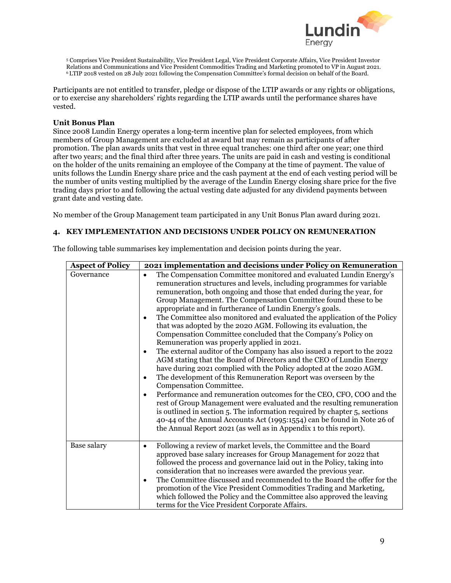

<sup>5</sup> Comprises Vice President Sustainability, Vice President Legal, Vice President Corporate Affairs, Vice President Investor Relations and Communications and Vice President Commodities Trading and Marketing promoted to VP in August 2021. 6 LTIP 2018 vested on 28 July 2021 following the Compensation Committee's formal decision on behalf of the Board.

Participants are not entitled to transfer, pledge or dispose of the LTIP awards or any rights or obligations, or to exercise any shareholders' rights regarding the LTIP awards until the performance shares have vested.

## **Unit Bonus Plan**

Since 2008 Lundin Energy operates a long-term incentive plan for selected employees, from which members of Group Management are excluded at award but may remain as participants of after promotion. The plan awards units that vest in three equal tranches: one third after one year; one third after two years; and the final third after three years. The units are paid in cash and vesting is conditional on the holder of the units remaining an employee of the Company at the time of payment. The value of units follows the Lundin Energy share price and the cash payment at the end of each vesting period will be the number of units vesting multiplied by the average of the Lundin Energy closing share price for the five trading days prior to and following the actual vesting date adjusted for any dividend payments between grant date and vesting date.

No member of the Group Management team participated in any Unit Bonus Plan award during 2021.

# **4. KEY IMPLEMENTATION AND DECISIONS UNDER POLICY ON REMUNERATION**

The following table summarises key implementation and decision points during the year.

| <b>Aspect of Policy</b> | 2021 implementation and decisions under Policy on Remuneration                                                                                                                                                                                                                                                                                                                                                                                                                                                                                                                                                                                                                                                                                                                                                                                                                                                                                                                                                                                                                                                                                                                                                                                                                                                                                                                 |
|-------------------------|--------------------------------------------------------------------------------------------------------------------------------------------------------------------------------------------------------------------------------------------------------------------------------------------------------------------------------------------------------------------------------------------------------------------------------------------------------------------------------------------------------------------------------------------------------------------------------------------------------------------------------------------------------------------------------------------------------------------------------------------------------------------------------------------------------------------------------------------------------------------------------------------------------------------------------------------------------------------------------------------------------------------------------------------------------------------------------------------------------------------------------------------------------------------------------------------------------------------------------------------------------------------------------------------------------------------------------------------------------------------------------|
| Governance              | The Compensation Committee monitored and evaluated Lundin Energy's<br>$\bullet$<br>remuneration structures and levels, including programmes for variable<br>remuneration, both ongoing and those that ended during the year, for<br>Group Management. The Compensation Committee found these to be<br>appropriate and in furtherance of Lundin Energy's goals.<br>The Committee also monitored and evaluated the application of the Policy<br>$\bullet$<br>that was adopted by the 2020 AGM. Following its evaluation, the<br>Compensation Committee concluded that the Company's Policy on<br>Remuneration was properly applied in 2021.<br>The external auditor of the Company has also issued a report to the 2022<br>٠<br>AGM stating that the Board of Directors and the CEO of Lundin Energy<br>have during 2021 complied with the Policy adopted at the 2020 AGM.<br>The development of this Remuneration Report was overseen by the<br>$\bullet$<br>Compensation Committee.<br>Performance and remuneration outcomes for the CEO, CFO, COO and the<br>$\bullet$<br>rest of Group Management were evaluated and the resulting remuneration<br>is outlined in section 5. The information required by chapter 5, sections<br>40-44 of the Annual Accounts Act (1995:1554) can be found in Note 26 of<br>the Annual Report 2021 (as well as in Appendix 1 to this report). |
| Base salary             | Following a review of market levels, the Committee and the Board<br>$\bullet$<br>approved base salary increases for Group Management for 2022 that<br>followed the process and governance laid out in the Policy, taking into<br>consideration that no increases were awarded the previous year.<br>The Committee discussed and recommended to the Board the offer for the<br>$\bullet$<br>promotion of the Vice President Commodities Trading and Marketing,<br>which followed the Policy and the Committee also approved the leaving<br>terms for the Vice President Corporate Affairs.                                                                                                                                                                                                                                                                                                                                                                                                                                                                                                                                                                                                                                                                                                                                                                                      |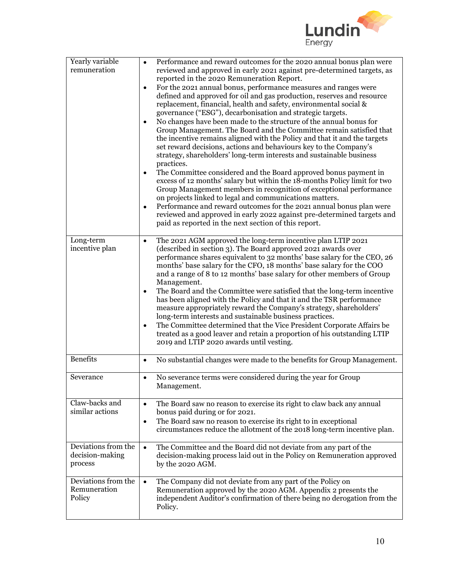

| Yearly variable<br>remuneration                   | Performance and reward outcomes for the 2020 annual bonus plan were<br>$\bullet$<br>reviewed and approved in early 2021 against pre-determined targets, as<br>reported in the 2020 Remuneration Report.<br>For the 2021 annual bonus, performance measures and ranges were<br>$\bullet$<br>defined and approved for oil and gas production, reserves and resource<br>replacement, financial, health and safety, environmental social &<br>governance ("ESG"), decarbonisation and strategic targets.<br>No changes have been made to the structure of the annual bonus for<br>$\bullet$<br>Group Management. The Board and the Committee remain satisfied that<br>the incentive remains aligned with the Policy and that it and the targets<br>set reward decisions, actions and behaviours key to the Company's<br>strategy, shareholders' long-term interests and sustainable business<br>practices.<br>The Committee considered and the Board approved bonus payment in<br>$\bullet$<br>excess of 12 months' salary but within the 18-months Policy limit for two<br>Group Management members in recognition of exceptional performance<br>on projects linked to legal and communications matters.<br>Performance and reward outcomes for the 2021 annual bonus plan were<br>$\bullet$<br>reviewed and approved in early 2022 against pre-determined targets and<br>paid as reported in the next section of this report. |
|---------------------------------------------------|-----------------------------------------------------------------------------------------------------------------------------------------------------------------------------------------------------------------------------------------------------------------------------------------------------------------------------------------------------------------------------------------------------------------------------------------------------------------------------------------------------------------------------------------------------------------------------------------------------------------------------------------------------------------------------------------------------------------------------------------------------------------------------------------------------------------------------------------------------------------------------------------------------------------------------------------------------------------------------------------------------------------------------------------------------------------------------------------------------------------------------------------------------------------------------------------------------------------------------------------------------------------------------------------------------------------------------------------------------------------------------------------------------------------------------|
| Long-term<br>incentive plan                       | The 2021 AGM approved the long-term incentive plan LTIP 2021<br>$\bullet$<br>(described in section 3). The Board approved 2021 awards over<br>performance shares equivalent to 32 months' base salary for the CEO, 26<br>months' base salary for the CFO, 18 months' base salary for the COO<br>and a range of 8 to 12 months' base salary for other members of Group<br>Management.<br>The Board and the Committee were satisfied that the long-term incentive<br>has been aligned with the Policy and that it and the TSR performance<br>measure appropriately reward the Company's strategy, shareholders'<br>long-term interests and sustainable business practices.<br>The Committee determined that the Vice President Corporate Affairs be<br>$\bullet$<br>treated as a good leaver and retain a proportion of his outstanding LTIP<br>2019 and LTIP 2020 awards until vesting.                                                                                                                                                                                                                                                                                                                                                                                                                                                                                                                                      |
| <b>Benefits</b>                                   | No substantial changes were made to the benefits for Group Management.<br>$\bullet$                                                                                                                                                                                                                                                                                                                                                                                                                                                                                                                                                                                                                                                                                                                                                                                                                                                                                                                                                                                                                                                                                                                                                                                                                                                                                                                                         |
| Severance                                         | No severance terms were considered during the year for Group<br>$\bullet$<br>Management.                                                                                                                                                                                                                                                                                                                                                                                                                                                                                                                                                                                                                                                                                                                                                                                                                                                                                                                                                                                                                                                                                                                                                                                                                                                                                                                                    |
| Claw-backs and<br>similar actions                 | The Board saw no reason to exercise its right to claw back any annual<br>$\bullet$<br>bonus paid during or for 2021.<br>The Board saw no reason to exercise its right to in exceptional<br>$\bullet$<br>circumstances reduce the allotment of the 2018 long-term incentive plan.                                                                                                                                                                                                                                                                                                                                                                                                                                                                                                                                                                                                                                                                                                                                                                                                                                                                                                                                                                                                                                                                                                                                            |
| Deviations from the<br>decision-making<br>process | The Committee and the Board did not deviate from any part of the<br>$\bullet$<br>decision-making process laid out in the Policy on Remuneration approved<br>by the 2020 AGM.                                                                                                                                                                                                                                                                                                                                                                                                                                                                                                                                                                                                                                                                                                                                                                                                                                                                                                                                                                                                                                                                                                                                                                                                                                                |
| Deviations from the<br>Remuneration<br>Policy     | The Company did not deviate from any part of the Policy on<br>$\bullet$<br>Remuneration approved by the 2020 AGM. Appendix 2 presents the<br>independent Auditor's confirmation of there being no derogation from the<br>Policy.                                                                                                                                                                                                                                                                                                                                                                                                                                                                                                                                                                                                                                                                                                                                                                                                                                                                                                                                                                                                                                                                                                                                                                                            |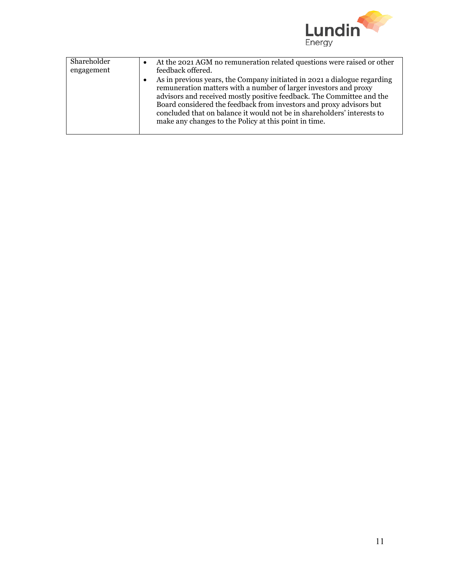

| Shareholder | At the 2021 AGM no remuneration related questions were raised or other<br>$\bullet$                                                                                                                                                                                                                                                                                                                                                           |
|-------------|-----------------------------------------------------------------------------------------------------------------------------------------------------------------------------------------------------------------------------------------------------------------------------------------------------------------------------------------------------------------------------------------------------------------------------------------------|
| engagement  | feedback offered.                                                                                                                                                                                                                                                                                                                                                                                                                             |
|             | As in previous years, the Company initiated in 2021 a dialogue regarding<br>$\bullet$<br>remuneration matters with a number of larger investors and proxy<br>advisors and received mostly positive feedback. The Committee and the<br>Board considered the feedback from investors and proxy advisors but<br>concluded that on balance it would not be in shareholders' interests to<br>make any changes to the Policy at this point in time. |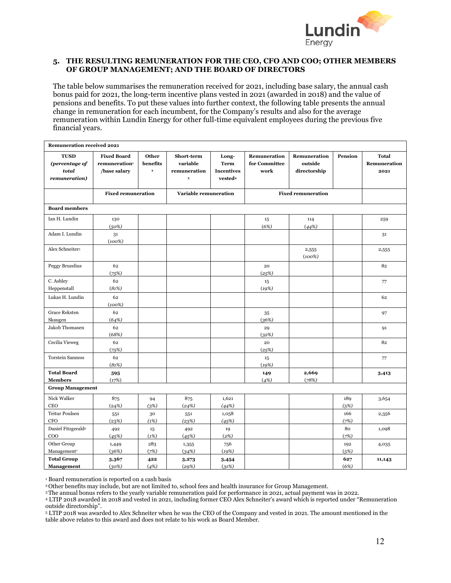

# **5. THE RESULTING REMUNERATION FOR THE CEO, CFO AND COO; OTHER MEMBERS OF GROUP MANAGEMENT; AND THE BOARD OF DIRECTORS**

The table below summarises the remuneration received for 2021, including base salary, the annual cash bonus paid for 2021, the long-term incentive plans vested in 2021 (awarded in 2018) and the value of pensions and benefits. To put these values into further context, the following table presents the annual change in remuneration for each incumbent, for the Company's results and also for the average remuneration within Lundin Energy for other full-time equivalent employees during the previous five financial years.

| <b>Remuneration received 2021</b>                       |                                                                 |                                                                                                      |                                                   |                                                                  |                                       |                                         |             |                                      |
|---------------------------------------------------------|-----------------------------------------------------------------|------------------------------------------------------------------------------------------------------|---------------------------------------------------|------------------------------------------------------------------|---------------------------------------|-----------------------------------------|-------------|--------------------------------------|
| <b>TUSD</b><br>(percentage of<br>total<br>remuneration) | <b>Fixed Board</b><br>remuneration <sup>1</sup><br>/base salary | Other<br>benefits<br>$\mathbf{2}% =\mathbf{1}_{B}\left( \mathbf{1}_{B}\right) ^{\ast}\mathbf{1}_{B}$ | Short-term<br>variable<br>remuneration<br>$\bf 3$ | Long-<br><b>Term</b><br><b>Incentives</b><br>vested <sup>4</sup> | Remuneration<br>for Committee<br>work | Remuneration<br>outside<br>directorship | Pension     | <b>Total</b><br>Remuneration<br>2021 |
|                                                         | <b>Fixed remuneration</b>                                       |                                                                                                      | Variable remuneration                             |                                                                  |                                       | <b>Fixed remuneration</b>               |             |                                      |
| <b>Board members</b>                                    |                                                                 |                                                                                                      |                                                   |                                                                  |                                       |                                         |             |                                      |
| Ian H. Lundin                                           | 130<br>(50%)                                                    |                                                                                                      |                                                   |                                                                  | 15<br>(6%)                            | 114<br>(44%)                            |             | 259                                  |
| Adam I. Lundin                                          | 31<br>$(100\%)$                                                 |                                                                                                      |                                                   |                                                                  |                                       |                                         |             | 31                                   |
| Alex Schneiters                                         |                                                                 |                                                                                                      |                                                   |                                                                  |                                       | 2,555<br>$(100\%)$                      |             | 2,555                                |
| Peggy Bruzelius                                         | 62<br>(75%)                                                     |                                                                                                      |                                                   |                                                                  | 20<br>(25%)                           |                                         |             | 82                                   |
| C. Ashley<br>Heppenstall                                | 62<br>(81%)                                                     |                                                                                                      |                                                   |                                                                  | 15<br>(19%)                           |                                         |             | 77                                   |
| Lukas H. Lundin                                         | 62<br>$(100\%)$                                                 |                                                                                                      |                                                   |                                                                  |                                       |                                         |             | 62                                   |
| <b>Grace Reksten</b><br>Skaugen                         | 62<br>(64%)                                                     |                                                                                                      |                                                   |                                                                  | 35<br>(36%)                           |                                         |             | 97                                   |
| Jakob Thomasen                                          | 62<br>(68%)                                                     |                                                                                                      |                                                   |                                                                  | 29<br>(32%)                           |                                         |             | 91                                   |
| Cecilia Vieweg                                          | 62<br>(75%)                                                     |                                                                                                      |                                                   |                                                                  | 20<br>(25%)                           |                                         |             | 82                                   |
| <b>Torstein Sanness</b>                                 | 62<br>(81%)                                                     |                                                                                                      |                                                   |                                                                  | 15<br>(19%)                           |                                         |             | 77                                   |
| <b>Total Board</b><br><b>Members</b>                    | 595<br>(17%)                                                    |                                                                                                      |                                                   |                                                                  | 149<br>(4%)                           | 2,669<br>(78%)                          |             | 3,413                                |
| <b>Group Management</b>                                 |                                                                 |                                                                                                      |                                                   |                                                                  |                                       |                                         |             |                                      |
| Nick Walker<br><b>CEO</b>                               | 875<br>(24%)                                                    | 94<br>(3%)                                                                                           | 875<br>(24%)                                      | 1,621<br>(44%)                                                   |                                       |                                         | 189<br>(5%) | 3,654                                |
| Teitur Poulsen<br>CFO                                   | 551<br>(23%)                                                    | 30<br>(1%)                                                                                           | 551<br>(23%)                                      | 1,058<br>(45%)                                                   |                                       |                                         | 166<br>(7%) | 2,356                                |
| Daniel Fitzgerald6<br>COO                               | 492<br>(45%)                                                    | 15<br>(1%)                                                                                           | 492<br>(45%)                                      | 19<br>(2%)                                                       |                                       |                                         | 80<br>(7%)  | 1,098                                |
| Other Group<br>Management <sup>7</sup>                  | 1,449<br>(36%)                                                  | 283<br>(7%)                                                                                          | 1,355<br>(34%)                                    | 756<br>(19%)                                                     |                                       |                                         | 192<br>(5%) | 4,035                                |
| <b>Total Group</b><br><b>Management</b>                 | 3,367<br>(30%)                                                  | 422<br>(4%)                                                                                          | 3,273<br>(29%)                                    | 3,454<br>(31%)                                                   |                                       |                                         | 627<br>(6%) | 11,143                               |

<sup>1</sup> Board remuneration is reported on a cash basis

2Other benefits may include, but are not limited to, school fees and health insurance for Group Management.

3The annual bonus refers to the yearly variable remuneration paid for performance in 2021, actual payment was in 2022.

<sup>4</sup> LTIP 2018 awarded in 2018 and vested in 2021, including former CEO Alex Schneiter's award which is reported under "Remuneration outside directorship".

<sup>5</sup> LTIP 2018 was awarded to Alex Schneiter when he was the CEO of the Company and vested in 2021. The amount mentioned in the table above relates to this award and does not relate to his work as Board Member.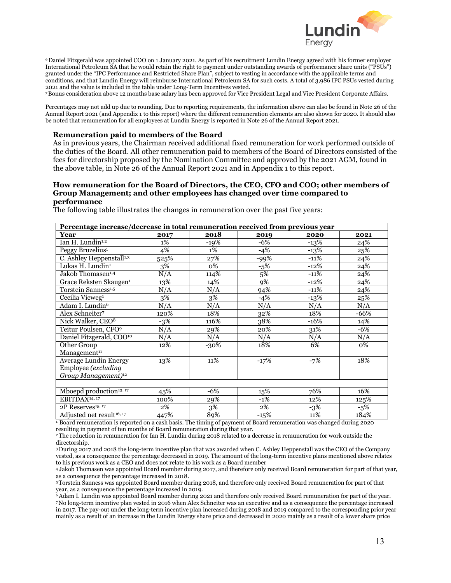

<sup>6</sup> Daniel Fitzgerald was appointed COO on 1 January 2021. As part of his recruitment Lundin Energy agreed with his former employer International Petroleum SA that he would retain the right to payment under outstanding awards of performance share units ("PSUs") granted under the "IPC Performance and Restricted Share Plan", subject to vesting in accordance with the applicable terms and conditions, and that Lundin Energy will reimburse International Petroleum SA for such costs. A total of 3,986 IPC PSUs vested during 2021 and the value is included in the table under Long-Term Incentives vested.

7Bonus consideration above 12 months base salary has been approved for Vice President Legal and Vice President Corporate Affairs.

Percentages may not add up due to rounding. Due to reporting requirements, the information above can also be found in Note 26 of the Annual Report 2021 (and Appendix 1 to this report) where the different remuneration elements are also shown for 2020. It should also be noted that remuneration for all employees at Lundin Energy is reported in Note 26 of the Annual Report 2021.

#### **Remuneration paid to members of the Board**

As in previous years, the Chairman received additional fixed remuneration for work performed outside of the duties of the Board. All other remuneration paid to members of the Board of Directors consisted of the fees for directorship proposed by the Nomination Committee and approved by the 2021 AGM, found in the above table, in Note 26 of the Annual Report 2021 and in Appendix 1 to this report.

#### **How remuneration for the Board of Directors, the CEO, CFO and COO; other members of Group Management; and other employees has changed over time compared to performance**

The following table illustrates the changes in remuneration over the past five years:

| Percentage increase/decrease in total remuneration received from previous year |       |        |        |        |        |  |
|--------------------------------------------------------------------------------|-------|--------|--------|--------|--------|--|
| Year                                                                           | 2017  | 2018   | 2019   | 2020   | 2021   |  |
| Ian H. Lundin <sup>1,2</sup>                                                   | 1%    | $-19%$ | $-6%$  | $-13%$ | 24%    |  |
| Peggy Bruzelius <sup>1</sup>                                                   | 4%    | 1%     | $-4%$  | $-13%$ | 25%    |  |
| C. Ashley Heppenstall <sup>1,3</sup>                                           | 525%  | 27%    | $-99%$ | $-11%$ | 24%    |  |
| Lukas H. Lundin <sup>1</sup>                                                   | 3%    | 0%     | $-5%$  | $-12%$ | 24%    |  |
| Jakob Thomasen <sup>1,4</sup>                                                  | N/A   | 114%   | 5%     | $-11%$ | 24%    |  |
| Grace Reksten Skaugen <sup>1</sup>                                             | 13%   | 14%    | 9%     | $-12%$ | 24%    |  |
| Torstein Sanness <sup>1,5</sup>                                                | N/A   | N/A    | 94%    | $-11%$ | 24%    |  |
| Cecilia Vieweg <sup>1</sup>                                                    | 3%    | 3%     | $-4%$  | $-13%$ | 25%    |  |
| Adam I. Lundin <sup>6</sup>                                                    | N/A   | N/A    | N/A    | N/A    | N/A    |  |
| Alex Schneiter7                                                                | 120%  | 18%    | 32%    | 18%    | $-66%$ |  |
| Nick Walker, CEO <sup>8</sup>                                                  | $-3%$ | 116%   | 38%    | $-16%$ | 14%    |  |
| Teitur Poulsen, CFO <sup>9</sup>                                               | N/A   | 29%    | 20%    | 31%    | $-6%$  |  |
| Daniel Fitzgerald, COO <sup>10</sup>                                           | N/A   | N/A    | N/A    | N/A    | N/A    |  |
| Other Group                                                                    | 12%   | -30%   | 18%    | 6%     | 0%     |  |
| Management <sup>11</sup>                                                       |       |        |        |        |        |  |
| <b>Average Lundin Energy</b>                                                   | 13%   | 11%    | $-17%$ | $-7%$  | 18%    |  |
| Employee (excluding                                                            |       |        |        |        |        |  |
| Group Management) <sup>12</sup>                                                |       |        |        |        |        |  |
|                                                                                |       |        |        |        |        |  |
| Mboepd production <sup>13, 17</sup>                                            | 45%   | -6%    | 15%    | 76%    | 16%    |  |
| EBITDAX <sup>14, 17</sup>                                                      | 100%  | 29%    | $-1%$  | 12%    | 125%   |  |
| 2P Reserves <sup>15, 17</sup>                                                  | 2%    | 3%     | 2%     | $-3%$  | $-5%$  |  |
| Adjusted net result <sup>16, 17</sup>                                          | 447%  | 89%    | $-15%$ | 11%    | 184%   |  |

 $\scriptstyle\rm^1$ Board remuneration is reported on a cash basis. The timing of payment of Board remuneration was changed during 2020 resulting in payment of ten months of Board remuneration during that year.

2 The reduction in remuneration for Ian H. Lundin during 2018 related to a decrease in remuneration for work outside the

directorship.<br><sup>3</sup> During 2017 and 2018 the long-term incentive plan that was awarded when C. Ashley Heppenstall was the CEO of the Company vested, as a consequence the percentage decreased in 2019. The amount of the long-term incentive plans mentioned above relates to his previous work as a CEO and does not relate to his work as a Board member

4 Jakob Thomasen was appointed Board member during 2017, and therefore only received Board remuneration for part of that year, as a consequence the percentage increased in 2018.

5Torstein Sanness was appointed Board member during 2018, and therefore only received Board remuneration for part of that year, as a consequence the percentage increased in 2019.

6Adam I. Lundin was appointed Board member during 2021 and therefore only received Board remuneration for part of the year. 7No long-term incentive plan vested in 2016 when Alex Schneiter was an executive and as a consequence the percentage increased in 2017. The pay-out under the long-term incentive plan increased during 2018 and 2019 compared to the corresponding prior year mainly as a result of an increase in the Lundin Energy share price and decreased in 2020 mainly as a result of a lower share price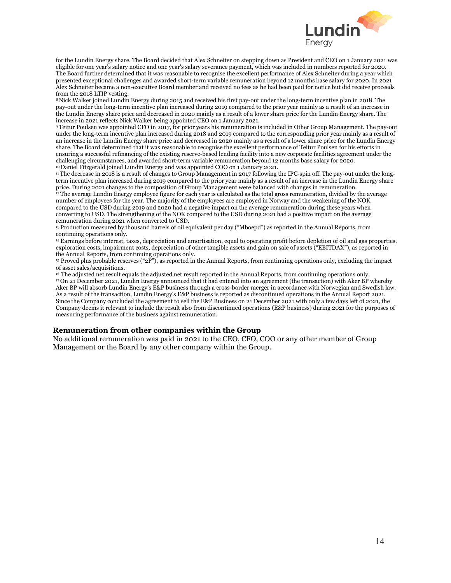

for the Lundin Energy share. The Board decided that Alex Schneiter on stepping down as President and CEO on 1 January 2021 was eligible for one year's salary notice and one year's salary severance payment, which was included in numbers reported for 2020. The Board further determined that it was reasonable to recognise the excellent performance of Alex Schneiter during a year which presented exceptional challenges and awarded short-term variable remuneration beyond 12 months base salary for 2020. In 2021 Alex Schneiter became a non-executive Board member and received no fees as he had been paid for notice but did receive proceeds from the 2018 LTIP vesting.

8 Nick Walker joined Lundin Energy during 2015 and received his first pay-out under the long-term incentive plan in 2018. The pay-out under the long-term incentive plan increased during 2019 compared to the prior year mainly as a result of an increase in the Lundin Energy share price and decreased in 2020 mainly as a result of a lower share price for the Lundin Energy share. The increase in 2021 reflects Nick Walker being appointed CEO on 1 January 2021.

9Teitur Poulsen was appointed CFO in 2017, for prior years his remuneration is included in Other Group Management. The pay-out under the long-term incentive plan increased during 2018 and 2019 compared to the corresponding prior year mainly as a result of an increase in the Lundin Energy share price and decreased in 2020 mainly as a result of a lower share price for the Lundin Energy share. The Board determined that it was reasonable to recognise the excellent performance of Teitur Poulsen for his efforts in ensuring a successful refinancing of the existing reserve-based lending facility into a new corporate facilities agreement under the challenging circumstances, and awarded short-term variable remuneration beyond 12 months base salary for 2020. <sup>10</sup> Daniel Fitzgerald joined Lundin Energy and was appointed COO on 1 January 2021.

<sup>11</sup>The decrease in 2018 is a result of changes to Group Management in 2017 following the IPC-spin off. The pay-out under the longterm incentive plan increased during 2019 compared to the prior year mainly as a result of an increase in the Lundin Energy share price. During 2021 changes to the composition of Group Management were balanced with changes in remuneration. <sup>12</sup>The average Lundin Energy employee figure for each year is calculated as the total gross remuneration, divided by the average

number of employees for the year. The majority of the employees are employed in Norway and the weakening of the NOK compared to the USD during 2019 and 2020 had a negative impact on the average remuneration during these years when converting to USD. The strengthening of the NOK compared to the USD during 2021 had a positive impact on the average remuneration during 2021 when converted to USD.

13Production measured by thousand barrels of oil equivalent per day ("Mboepd") as reported in the Annual Reports, from continuing operations only.

14Earnings before interest, taxes, depreciation and amortisation, equal to operating profit before depletion of oil and gas properties, exploration costs, impairment costs, depreciation of other tangible assets and gain on sale of assets ("EBITDAX"), as reported in the Annual Reports, from continuing operations only.

<sup>15</sup> Proved plus probable reserves (" $2P$ "), as reported in the Annual Reports, from continuing operations only, excluding the impact of asset sales/acquisitions.

<sup>16</sup> The adjusted net result equals the adjusted net result reported in the Annual Reports, from continuing operations only. 17 On 21 December 2021, Lundin Energy announced that it had entered into an agreement (the transaction) with Aker BP whereby Aker BP will absorb Lundin Energy's E&P business through a cross-border merger in accordance with Norwegian and Swedish law. As a result of the transaction, Lundin Energy's E&P business is reported as discontinued operations in the Annual Report 2021. Since the Company concluded the agreement to sell the E&P Business on 21 December 2021 with only a few days left of 2021, the Company deems it relevant to include the result also from discontinued operations (E&P business) during 2021 for the purposes of measuring performance of the business against remuneration.

#### **Remuneration from other companies within the Group**

No additional remuneration was paid in 2021 to the CEO, CFO, COO or any other member of Group Management or the Board by any other company within the Group.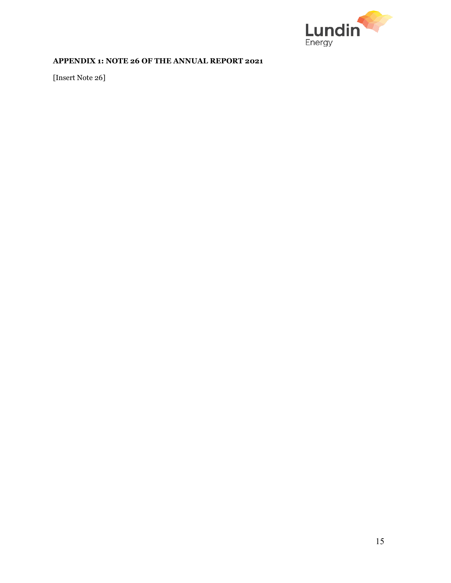

# **APPENDIX 1: NOTE 26 OF THE ANNUAL REPORT 2021**

[Insert Note 26]